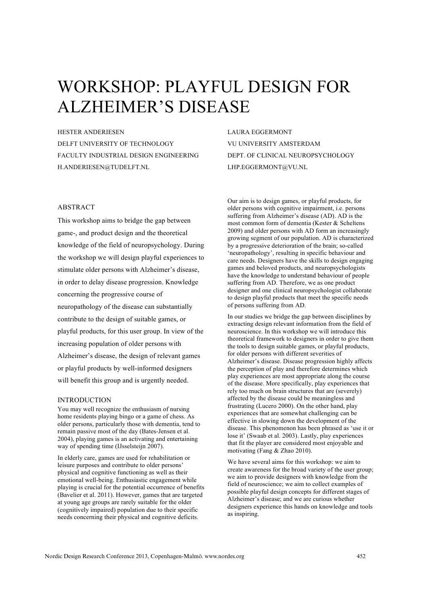# WORKSHOP: PLAYFUL DESIGN FOR ALZHEIMER'S DISEASE

HESTER ANDERIESEN

DELFT UNIVERSITY OF TECHNOLOGY FACULTY INDUSTRIAL DESIGN ENGINEERING H.ANDERIESEN@TUDELFT.NL

# ABSTRACT

This workshop aims to bridge the gap between game-, and product design and the theoretical knowledge of the field of neuropsychology. During the workshop we will design playful experiences to stimulate older persons with Alzheimer's disease, in order to delay disease progression. Knowledge concerning the progressive course of neuropathology of the disease can substantially contribute to the design of suitable games, or playful products, for this user group. In view of the increasing population of older persons with Alzheimer's disease, the design of relevant games or playful products by well-informed designers will benefit this group and is urgently needed.

## INTRODUCTION

You may well recognize the enthusiasm of nursing home residents playing bingo or a game of chess. As older persons, particularly those with dementia, tend to remain passive most of the day (Bates-Jensen et al. 2004), playing games is an activating and entertaining way of spending time (IJsselsteijn 2007).

In elderly care, games are used for rehabilitation or leisure purposes and contribute to older persons' physical and cognitive functioning as well as their emotional well-being. Enthusiastic engagement while playing is crucial for the potential occurrence of benefits (Bavelier et al. 2011). However, games that are targeted at young age groups are rarely suitable for the older (cognitively impaired) population due to their specific needs concerning their physical and cognitive deficits.

LAURA EGGERMONT VU UNIVERSITY AMSTERDAM DEPT. OF CLINICAL NEUROPSYCHOLOGY LHP.EGGERMONT@VU.NL

Our aim is to design games, or playful products, for older persons with cognitive impairment, i.e. persons suffering from Alzheimer's disease (AD). AD is the most common form of dementia (Kester & Scheltens 2009) and older persons with AD form an increasingly growing segment of our population. AD is characterized by a progressive deterioration of the brain; so-called 'neuropathology', resulting in specific behaviour and care needs. Designers have the skills to design engaging games and beloved products, and neuropsychologists have the knowledge to understand behaviour of people suffering from AD. Therefore, we as one product designer and one clinical neuropsychologist collaborate to design playful products that meet the specific needs of persons suffering from AD.

In our studies we bridge the gap between disciplines by extracting design relevant information from the field of neuroscience. In this workshop we will introduce this theoretical framework to designers in order to give them the tools to design suitable games, or playful products, for older persons with different severities of Alzheimer's disease. Disease progression highly affects the perception of play and therefore determines which play experiences are most appropriate along the course of the disease. More specifically, play experiences that rely too much on brain structures that are (severely) affected by the disease could be meaningless and frustrating (Lucero 2000). On the other hand, play experiences that are somewhat challenging can be effective in slowing down the development of the disease. This phenomenon has been phrased as 'use it or lose it' (Swaab et al. 2003). Lastly, play experiences that fit the player are considered most enjoyable and motivating (Fang & Zhao 2010).

We have several aims for this workshop: we aim to create awareness for the broad variety of the user group; we aim to provide designers with knowledge from the field of neuroscience; we aim to collect examples of possible playful design concepts for different stages of Alzheimer's disease; and we are curious whether designers experience this hands on knowledge and tools as inspiring.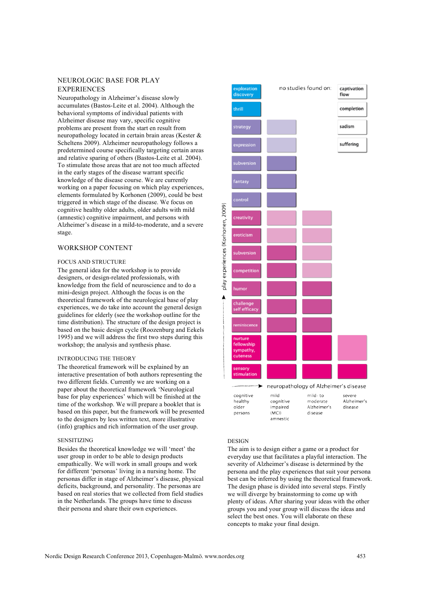# NEUROLOGIC BASE FOR PLAY **EXPERIENCES**

Neuropathology in Alzheimer's disease slowly accumulates (Bastos-Leite et al. 2004). Although the behavioral symptoms of individual patients with Alzheimer disease may vary, specific cognitive problems are present from the start en result from neuropathology located in certain brain areas (Kester & Scheltens 2009). Alzheimer neuropathology follows a predetermined course specifically targeting certain areas and relative sparing of others (Bastos-Leite et al. 2004). To stimulate those areas that are not too much affected in the early stages of the disease warrant specific knowledge of the disease course. We are currently working on a paper focusing on which play experiences, elements formulated by Korhonen (2009), could be best triggered in which stage of the disease. We focus on cognitive healthy older adults, older adults with mild (amnestic) cognitive impairment, and persons with Alzheimer's disease in a mild-to-moderate, and a severe stage.

# WORKSHOP CONTENT

## FOCUS AND STRUCTURE

The general idea for the workshop is to provide designers, or design-related professionals, with knowledge from the field of neuroscience and to do a mini-design project. Although the focus is on the theoretical framework of the neurological base of play experiences, we do take into account the general design guidelines for elderly (see the workshop outline for the time distribution). The structure of the design project is based on the basic design cycle (Roozenburg and Eekels 1995) and we will address the first two steps during this workshop; the analysis and synthesis phase.

#### INTRODUCING THE THEORY

The theoretical framework will be explained by an interactive presentation of both authors representing the two different fields. Currently we are working on a paper about the theoretical framework 'Neurological base for play experiences' which will be finished at the time of the workshop. We will prepare a booklet that is based on this paper, but the framework will be presented to the designers by less written text, more illustrative (info) graphics and rich information of the user group.

#### SENSITIZING

Besides the theoretical knowledge we will 'meet' the user group in order to be able to design products empathically. We will work in small groups and work for different 'personas' living in a nursing home. The personas differ in stage of Alzheimer's disease, physical deficits, background, and personality. The personas are based on real stories that we collected from field studies in the Netherlands. The groups have time to discuss their persona and share their own experiences.



# **DESIGN**

The aim is to design either a game or a product for everyday use that facilitates a playful interaction. The severity of Alzheimer's disease is determined by the persona and the play experiences that suit your persona best can be inferred by using the theoretical framework. The design phase is divided into several steps. Firstly we will diverge by brainstorming to come up with plenty of ideas. After sharing your ideas with the other groups you and your group will discuss the ideas and select the best ones. You will elaborate on these concepts to make your final design.